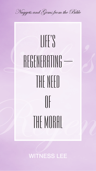Nuggets and Gems from the Bible



# THE MURAL

# WITNESS LEE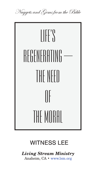Nuggets and Gems from the Bible



# **WITNESS LEE**

#### Living Stream Ministry Anaheim, CA · www.lsm.org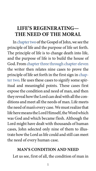1

# **LIFE'S REGENERATING— THE NEED OF THE MORAL**

In [chapter two](https://text.recoveryversion.bible/43_John_2.htm#Joh2-1) of the Gospel of John, we see the principle of life and the purpose of life set forth. The principle of life is to change death into life, and the purpose of life is to build the house of God. From [chapter three through chapter eleven](https://text.recoveryversion.bible/43_John_3.htm#Joh3-1) the writer then relates nine cases to prove the principle of life set forth in the first sign in [chap](https://text.recoveryversion.bible/43_John_2.htm#Joh2-1)[ter two](https://text.recoveryversion.bible/43_John_2.htm#Joh2-1). He uses these cases to signify some spiritual and meaningful points. These cases first expose the condition and need of man, and then they reveal how the Lord can deal with all the conditions and meet all the needs of man. Life meets the need of man's every case. We must realize that life here means the Lord Himself, the Word which was God and which became flesh. Although the Lord might have dealt with thousands of human cases, John selected only nine of them to illustrate how the Lord as life could and still can meet the need of every human case.

## **MAN'S CONDITION AND NEED**

Let us see, first of all, the condition of man in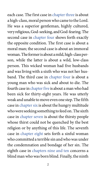each case. The first case in [chapter three](https://text.recoveryversion.bible/43_John_3.htm#Joh3-1) is about a high-class, moral person who came to the Lord. He was a superior gentleman, highly cultured, very religious, God-seeking, and God-fearing. The second case in [chapter four](https://text.recoveryversion.bible/43_John_4.htm#Joh4-1) shows forth exactly the opposite condition. The first case is about a moral man; the second case is about an immoral woman. The former is about a mild, high-class person, while the latter is about a wild, low-class person. This wicked woman had five husbands and was living with a sixth who was not her husband. The third case in [chapter four](https://text.recoveryversion.bible/43_John_4.htm#Joh4-1) is about a young man who was sick and about to die. The fourth case in [chapter five](https://text.recoveryversion.bible/43_John_5.htm#Joh5-1) is about a man who had been sick for thirty-eight years. He was utterly weak and unable to move even one step. The fifth case in [chapter six](https://text.recoveryversion.bible/43_John_6.htm#Joh6-1) is about the hungry multitude who were seeking something to feed on. The sixth case in [chapter seven](https://text.recoveryversion.bible/43_John_7.htm#Joh7-1) is about the thirsty people

whose thirst could not be quenched by the best religion or by anything of this life. The seventh case in [chapter eight](https://text.recoveryversion.bible/43_John_8.htm#Joh8-1) sets forth a sinful woman who committed a terrible sin and who was under the condemnation and bondage of her sin. The eighth case in [chapters nine and ten](https://text.recoveryversion.bible/43_John_9.htm#Joh9-1) concerns a blind man who was born blind. Finally, the ninth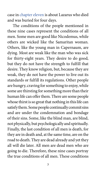case in [chapter eleven](https://text.recoveryversion.bible/43_John_11.htm#Joh11-1) is about Lazarus who died and was buried for four days.

The conditions of the people mentioned in these nine cases represent the conditions of all men. Some men are good like Nicodemus, while others are wicked like the Samaritan woman. Others, like the young man in Capernaum, are dying. Most are weak like the man who was sick for thirty-eight years. They desire to do good, but they do not have the strength to fulfill that desire. They know religion, but, because they are weak, they do not have the power to live out its standards or fulfill its regulations. Other people are hungry, craving for something to enjoy, while some are thirsting for something more than their human life can offer them. There are some people whose thirst is so great that nothing in this life can satisfy them. Some people continually commit sins and are under the condemnation and bondage of their sins. Some, like the blind man, are blind, not physically, but psychologically and spiritually. Finally, the last condition of all men is death, for they are in death and, at the same time, are on the road to death. They are dead already and yet they all will die later. All men are dead men who are going to die. Therefore, these nine cases portray the true conditions of all men. These conditions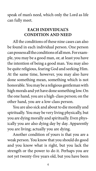speak of man's need, which only the Lord as life can fully meet.

#### **EACH INDIVIDUAL'S CONDITION AND NEED**

All the conditions of these nine cases can also be found in each individual person. One person can possess all the conditions of all men. For example, you may be a good man, or, at least you have the intention of being a good man. You may also be quite religious, fearing God and seeking Him. At the same time, however, you may also have done something mean, something which is not honorable. You may be a religious gentleman with high morals and yet have done something low. On the one hand, you are a high-class person; on the other hand, you are a low-class person.

You are also sick and about to die morally and spiritually. You may be very living physically, but you are dying morally and spiritually. Even physically you are also dying day by day. Apparently you are living; actually you are dying. Another condition of yours is that you are a weak person. You know that you should do good and you know what is right, but you lack the strength or the power to do it. Perhaps you are not yet twenty-five years old, but you have been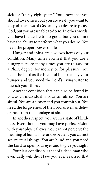sick for "thirty-eight years." You know that you should love others, but you are weak; you want to keep all the laws of God and you desire to please God, but you are unable to do so. In other words, you have the desire to do good, but you do not have the ability to perform what you desire. You need the proper power of life.

Hunger and thirst are also two items of your condition. Many times you feel that you are a hungry person; many times you are thirsty for a Ph.D. degree, for money, or for pleasure. You need the Lord as the bread of life to satisfy your hunger and you need the Lord's living water to quench your thirst.

Another condition that can also be found in you as an individual is your sinfulness. You are sinful. You are a sinner and you commit sin. You need the forgiveness of the Lord as well as deliverance from the bondage of sin.

In another respect, you are in a state of blind-

ness. Even though you may have perfect vision with your physical eyes, you cannot perceive the meaning of human life, and especially you cannot see spiritual things. You are blind and you need the Lord to open your eyes and to give you sight. Your last condition is that of a dead man who eventually will die. Have you ever realized that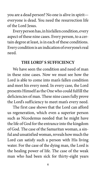you are a dead person? No one is alive in spirit everyone is dead. You need the resurrection life of the Lord Jesus.

Every person has, in his fallen condition, every aspect of these nine cases. Every person, to a certain degree at least, is in each of these conditions. Every condition is an indication of everyone's real need.

#### **THE LORD' S SUFFICIENCY**

We have seen the condition and need of man in these nine cases. Now we must see how the Lord is able to come into man's fallen condition and meet his every need. In every case, the Lord presents Himself as the One who could fulfill the deficiencies of man. These nine cases fully prove the Lord's sufficiency to meet man's every need.

The first case shows that the Lord can afford us regeneration, which even a superior person such as Nicodemus needed that he might have the life of God for the entrance into the kingdom of God. The case of the Samaritan woman, a sinful and unsatisfied woman, reveals how much the Lord can satisfy such a person with His living water. For the case of the dying man, the Lord is the healing power of life. The case of the weak man who had been sick for thirty-eight years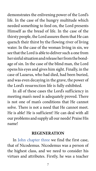demonstrates the enlivening power of the Lord's life. In the case of the hungry multitude which needed something to feed on, the Lord presents

Himself as the bread of life. In the case of the thirsty people, the Lord assures them that He can quench their thirst by the flowing river of living water. In the case of the woman living in sin, we see that the Lord is able to deliver such a one from her sinful situation and release her from the bondage of sin. In the case of the blind man, the Lord opens his eyes and gives him sight. Finally, in the case of Lazarus, who had died, had been buried, and was even decaying in the grave, the power of the Lord's resurrection life is fully exhibited.

In all of these cases the Lord's sufficiency in meeting man's need is adequately proved. There is not one of man's conditions that He cannot solve. There is not a need that He cannot meet. He is able! He is sufficient! He can deal with all our problems and supply all our needs! Praise His



#### **REGENERATION**

In [John chapter three](https://text.recoveryversion.bible/43_John_3.htm#Joh3-1) we find the first case, that of Nicodemus. Nicodemus was a person of the highest class, and we need to consider his virtues and attributes. Firstly, he was a teacher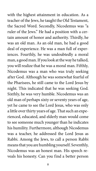with the highest attainment in education. As a teacher of the Jews, he taught the Old Testament, the Sacred Word. Secondly, Nicodemus was "a ruler of the Jews." He had a position with a certain amount of honor and authority. Thirdly, he was an old man. As an old man, he had a good deal of experience. He was a man full of experiences. Fourthly, he was undoubtedly a moral man, a good man. If you look at the way he talked,

you will realize that he was a moral man. Fifthly, Nicodemus was a man who was truly seeking after God. Although he was somewhat fearful of the Pharisees, he still came to the Lord Jesus by night. This indicated that he was seeking God. Sixthly, he was very humble. Nicodemus was an old man of perhaps sixty or seventy years of age, yet he came to see the Lord Jesus, who was only a little over thirty years of age. That such an experienced, educated, and elderly man would come

to see someone much younger than he indicates his humility. Furthermore, although Nicodemus was a teacher, he addressed the Lord Jesus as Rabbi. Among the Jews, to call a person Rabbi means that you are humbling yourself. Seventhly, Nicodemus was an honest man. His speech reveals his honesty. Can you find a better person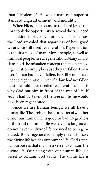than Nicodemus? He was a man of a superior standard, high attainment, and morality.

When Nicodemus came to the Lord Jesus, the Lord took the opportunity to reveal the true need of mankind. In His conversation with Nicodemus, the Lord revealed that regardless of how good we are, we still need regeneration. Regeneration is the first need of man. Moral people, as well as immoral people, need regeneration. Many Christians hold the mistaken concept that people need regeneration simply because they are fallen. However, if man had never fallen, he still would have needed regeneration. Even if Adam had not fallen he still would have needed regeneration. That is why God put him in front of the tree of life. If Adam had partaken of the tree of life, he would have been regenerated.

Since we are human beings, we all have a human life. The problem is not a matter of whether or not our human life is good or bad. Regardless of the kind of human life we have, as long as we do not have the divine life, we need to be regenerated. To be regenerated simply means to have the divine life besides our human life. God's eternal purpose is that man be a vessel to contain the divine life. Our being with our human life is a vessel to contain God as life. The divine life is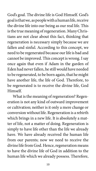God's goal. The divine life is God Himself. God's goal is that we, as people with a human life, receive

the divine life into our being as our real life. This is the true meaning of regeneration. Many Christians are not clear about this fact, thinking that regeneration is necessary simply because we are fallen and sinful. According to this concept, we need to be regenerated because our life is bad and cannot be improved. This concept is wrong. I say once again that even if Adam in the garden of Eden had never fallen, he still would have needed to be regenerated, to be born again, that he might have another life, the life of God. Therefore, to be regenerated is to receive the divine life, God Himself.

What is the meaning of regeneration? Regeneration is not any kind of outward improvement or cultivation; neither is it only a mere change or conversion without life. Regeneration is a rebirth which brings in a new life. It is absolutely a matter of life, not a matter of doing. Regeneration is simply to have life other than the life we already have. We have already received the human life from our parents; now we need to receive the divine life from God. Hence, regeneration means to have the divine life of God in addition to the human life which we already possess. Therefore,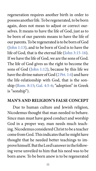regeneration requires another birth in order to

possess another life. To be regenerated, to be born again, does not mean to adjust or correct ourselves. It means to have the life of God, just as to be born of our parents means to have the life of our parents. To be regenerated is to be born of God ([John 1:13\)](https://text.recoveryversion.bible/43_John_1.htm#Joh1-13), and to be born of God is to have the life of God, that is the eternal life ([John 3:15-16\)](https://text.recoveryversion.bible/43_John_3.htm#Joh3-15). If we have the life of God, we are the sons of God. The life of God gives us the right to become the sons of God ([John 1:12\)](https://text.recoveryversion.bible/43_John_1.htm#Joh1-12), because by this life we have the divine nature of God [\(2 Pet. 1:4](https://text.recoveryversion.bible/61_2Peter_1.htm#SPe1-4)) and have the life-relationship with God, that is the sonship ([Rom. 8:15;](https://text.recoveryversion.bible/45_Romans_8.htm#Rom8-15) [Gal. 4:5-6](https://text.recoveryversion.bible/48_Galatians_4.htm#Gal4-5); "adoption" in Greek is "sonship").

#### **MAN'S AND RELIGION'S FALSE CONCEPT**

Due to human culture and Jewish religion, Nicodemus thought that man needed to behave. Since man must have good conduct and worship God in a proper way, man needs much teaching. Nicodemus considered Christ to be a teacher come from God. This indicates that he might have thought that he needed better teachings to improve himself. But the Lord's answer in the following verse unveiled to him that his need was to be born anew. To be born anew is to be regenerated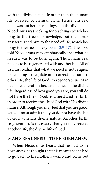with the divine life, a life other than the human

life received by natural birth. Hence, his real need was not better teachings, but the divine life. Nicodemus was seeking for teachings which belong to the tree of knowledge, but the Lord's answer turned him to the need of life, which belongs to the tree of life (cf. [Gen. 2:9-17](https://text.recoveryversion.bible/01_Genesis_2.htm#Gen2-9)). The Lord told Nicodemus very emphatically that what he needed was to be born again. Thus, man's real need is to be regenerated with another life. All of us must realize that what we need is not religion or teaching to regulate and correct us, but another life, the life of God, to regenerate us. Man needs regeneration because he needs the divine life. Regardless of how good you are, you still do not have the life of God. You need another birth in order to receive the life of God with His divine nature. Although you may feel that you are good, yet you must admit that you do not have the life of God with His divine nature. Another birth,

regeneration, is necessary that you may receive another life, the divine life of God.

#### **MAN'S REAL NEED—TO BE BORN ANEW**

When Nicodemus heard that he had to be born anew, he thought that this meant that he had to go back to his mother's womb and come out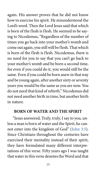again. His answer proves that he did not know

how to exercise his spirit. He misunderstood the Lord's word. Then the Lord Jesus said that which is born of the flesh is flesh. He seemed to be saying to Nicodemus, "Regardless of the number of times you go back into your mother's womb and come out again, you still will be flesh. That which is born of the flesh is flesh. Nicodemus, there is no need for you to say that you can't go back to your mother's womb and be born a second time, for even if you could do it, you would still be the same. Even if you could be born anew in that way and be young again, after another sixty or seventy years you would be the same as you are now. You do not need that kind of rebirth." Nicodemus did not need another birth in time, but another birth in nature.

#### **BORN OF WATER AND THE SPIRIT**

"Jesus answered, Truly, truly, I say to you, unless a man is born of water and the Spirit, he cannot enter into the kingdom of God" ([John 3:5\)](https://text.recoveryversion.bible/43_John_3.htm#Joh3-5). Since Christians throughout the centuries have exercised their mentality instead of their spirit, they have formulated many different interpretations of this verse. Fifty years ago I was taught that water in this verse denotes the Word and that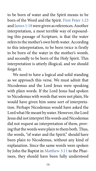to be born of water and the Spirit means to be born of the Word and the Spirit. [First Peter 1:23](https://text.recoveryversion.bible/60_1Peter_1.htm#FPe1-23) and [James 1:18](https://text.recoveryversion.bible/59_James_1.htm#Jam1-18) were given as references. Another interpretation, a most terrible way of expounding this passage of Scripture, is that the water refers to the mother's own birth water. According to this interpretation, to be born twice is firstly to be born of the water in the mother's womb, and secondly to be born of the Holy Spirit. This interpretation is utterly illogical, and we should forget it.

We need to have a logical and solid standing as we approach this verse. We must admit that Nicodemus and the Lord Jesus were speaking with plain words. If the Lord Jesus had spoken to Nicodemus with words that were not plain, He would have given him some sort of interpretation. Perhaps Nicodemus would have asked the Lord what He meant by water. However, the Lord Jesus did not interpret His words and Nicodemus did not request an interpretation of them, proving that the words were plain to them both. Thus, the words, "of water and the Spirit," should have been plain to Nicodemus, without any kind of explanation. Since the same words were spoken by John the Baptist in [Matthew 3:11](https://text.recoveryversion.bible/40_Matthew_3.htm#Mat3-11) to the Pharisees, they should have been fully understood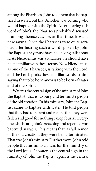among the Pharisees. John told them that he baptized in water, but that Another was coming who would baptize with the Spirit. After hearing this word of John's, the Pharisees probably discussed it among themselves, for, at that time, it was a new saying. Since the Pharisees were quite serious, after hearing such a word spoken by John

the Baptist, they must have had a long talk about it. As Nicodemus was a Pharisee, he should have been familiar with these terms. Now Nicodemus, as one of the Pharisees, is talking with the Lord, and the Lord speaks these familiar words to him, saying that to be born anew is to be born of water and of the Spirit.

Water is the central sign of the ministry of John the Baptist, that is, to bury and terminate people of the old creation. In his ministry, John the Baptist came to baptize with water. He told people that they had to repent and realize that they were fallen and good for nothing except burial. Everyone who heard John's preaching and repented was baptized in water. This means that, as fallen men of the old creation, they were being terminated. That was John's ministry. Furthermore, John told people that his ministry was for the ministry of the Lord Jesus. As water is the central sign in the ministry of John the Baptist, Spirit is the central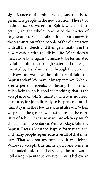significance of the ministry of Jesus, that is, to germinate people in the new creation. These two main concepts, water and Spirit, when put together, are the whole concept of the matter of regeneration. Regeneration, to be born anew, is the termination of the people of the old creation

with all their deeds and their germination in the new creation with the divine life. What does it mean to be born again? It means to be terminated by John's ministry through water and to be germinated by Jesus' ministry through the Spirit.

How can we have the ministry of John the Baptist today? We have it by repentance. Whenever a person repents, confessing that he is a fallen being who is good for nothing, that is the acceptance of John's ministry. There is no need, of course, for John literally to be present, for his ministry is in the New Testament already. When we preach the gospel, we firstly preach the ministry of John. That is why we preach very much about sin and repentance. We are today's John the Baptist. I was a John the Baptist forty years ago, and many people repented as a result of that ministry. That was not my ministry; it was John's. Whoever accepts this ministry, in one sense, is terminated and, in another sense, is born of water. Following repentance, everyone must believe in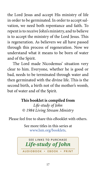the Lord Jesus and accept His ministry of life in order to be germinated. In order to accept salvation, we need both repentance and faith. To repent is to receive John's ministry, and to believe is to accept the ministry of the Lord Jesus. This is regeneration. As believers we all have passed through this process of regeneration. Now we understand what it means to be born of water and of the Spirit.

The Lord made Nicodemus' situation very clear to him. Everyone, whether he is good or bad, needs to be terminated through water and then germinated with the divine life. This is the second birth, a birth not of the mother's womb, but of water and of the Spirit.

#### **This booklet is compiled from**

*Life-study of John © 1984 Living Stream Ministry*

Please feel free to share this eBooklet with others.

See more titles in this series at [www.lsm.org/booklets.](https://www.lsm.org/booklets)

### **S EE LINKS TO PURCHASE AUDIOBOOK • EBOOK • PRINT** *[Life-study of John](#page-19-0)*